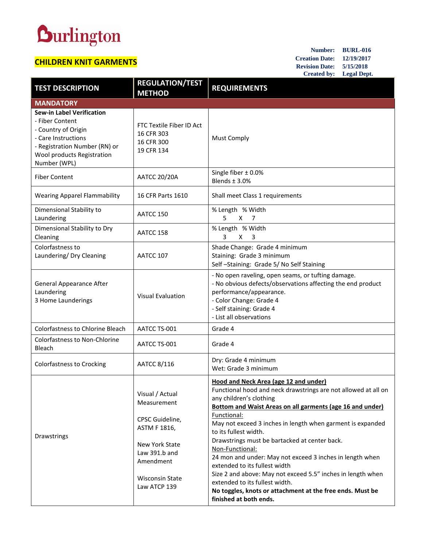## **Durlington**

## **CHILDREN KNIT GARMENTS**

**Number: BURL-016 Creation Date: 12/19/2017 Revision Date: 5/15/2018 Created by: Legal Dept.**

| <b>TEST DESCRIPTION</b>                                                                                                                                                          | <b>REGULATION/TEST</b><br><b>METHOD</b>                                                                                                                     | <b>REQUIREMENTS</b>                                                                                                                                                                                                                                                                                                                                                                                                                                                                                                                                                                                                                                                          |
|----------------------------------------------------------------------------------------------------------------------------------------------------------------------------------|-------------------------------------------------------------------------------------------------------------------------------------------------------------|------------------------------------------------------------------------------------------------------------------------------------------------------------------------------------------------------------------------------------------------------------------------------------------------------------------------------------------------------------------------------------------------------------------------------------------------------------------------------------------------------------------------------------------------------------------------------------------------------------------------------------------------------------------------------|
| <b>MANDATORY</b>                                                                                                                                                                 |                                                                                                                                                             |                                                                                                                                                                                                                                                                                                                                                                                                                                                                                                                                                                                                                                                                              |
| <b>Sew-in Label Verification</b><br>- Fiber Content<br>- Country of Origin<br>- Care Instructions<br>- Registration Number (RN) or<br>Wool products Registration<br>Number (WPL) | FTC Textile Fiber ID Act<br>16 CFR 303<br>16 CFR 300<br>19 CFR 134                                                                                          | <b>Must Comply</b>                                                                                                                                                                                                                                                                                                                                                                                                                                                                                                                                                                                                                                                           |
| <b>Fiber Content</b>                                                                                                                                                             | <b>AATCC 20/20A</b>                                                                                                                                         | Single fiber $\pm$ 0.0%<br>Blends $\pm$ 3.0%                                                                                                                                                                                                                                                                                                                                                                                                                                                                                                                                                                                                                                 |
| <b>Wearing Apparel Flammability</b>                                                                                                                                              | 16 CFR Parts 1610                                                                                                                                           | Shall meet Class 1 requirements                                                                                                                                                                                                                                                                                                                                                                                                                                                                                                                                                                                                                                              |
| Dimensional Stability to<br>Laundering                                                                                                                                           | AATCC 150                                                                                                                                                   | % Length % Width<br>5<br>X<br>- 7                                                                                                                                                                                                                                                                                                                                                                                                                                                                                                                                                                                                                                            |
| Dimensional Stability to Dry<br>Cleaning                                                                                                                                         | AATCC 158                                                                                                                                                   | % Length % Width<br>3<br>X.<br>$\overline{3}$                                                                                                                                                                                                                                                                                                                                                                                                                                                                                                                                                                                                                                |
| Colorfastness to<br>Laundering/ Dry Cleaning                                                                                                                                     | AATCC 107                                                                                                                                                   | Shade Change: Grade 4 minimum<br>Staining: Grade 3 minimum<br>Self-Staining: Grade 5/No Self Staining                                                                                                                                                                                                                                                                                                                                                                                                                                                                                                                                                                        |
| <b>General Appearance After</b><br>Laundering<br>3 Home Launderings                                                                                                              | <b>Visual Evaluation</b>                                                                                                                                    | - No open raveling, open seams, or tufting damage.<br>- No obvious defects/observations affecting the end product<br>performance/appearance.<br>- Color Change: Grade 4<br>- Self staining: Grade 4<br>- List all observations                                                                                                                                                                                                                                                                                                                                                                                                                                               |
| <b>Colorfastness to Chlorine Bleach</b>                                                                                                                                          | AATCC TS-001                                                                                                                                                | Grade 4                                                                                                                                                                                                                                                                                                                                                                                                                                                                                                                                                                                                                                                                      |
| <b>Colorfastness to Non-Chlorine</b><br>Bleach                                                                                                                                   | AATCC TS-001                                                                                                                                                | Grade 4                                                                                                                                                                                                                                                                                                                                                                                                                                                                                                                                                                                                                                                                      |
| Colorfastness to Crocking                                                                                                                                                        | AATCC 8/116                                                                                                                                                 | Dry: Grade 4 minimum<br>Wet: Grade 3 minimum                                                                                                                                                                                                                                                                                                                                                                                                                                                                                                                                                                                                                                 |
| Drawstrings                                                                                                                                                                      | Visual / Actual<br>Measurement<br>CPSC Guideline,<br>ASTM F 1816,<br>New York State<br>Law 391.b and<br>Amendment<br><b>Wisconsin State</b><br>Law ATCP 139 | <b>Hood and Neck Area (age 12 and under)</b><br>Functional hood and neck drawstrings are not allowed at all on<br>any children's clothing<br><b>Bottom and Waist Areas on all garments (age 16 and under)</b><br>Functional:<br>May not exceed 3 inches in length when garment is expanded<br>to its fullest width.<br>Drawstrings must be bartacked at center back.<br>Non-Functional:<br>24 mon and under: May not exceed 3 inches in length when<br>extended to its fullest width<br>Size 2 and above: May not exceed 5.5" inches in length when<br>extended to its fullest width.<br>No toggles, knots or attachment at the free ends. Must be<br>finished at both ends. |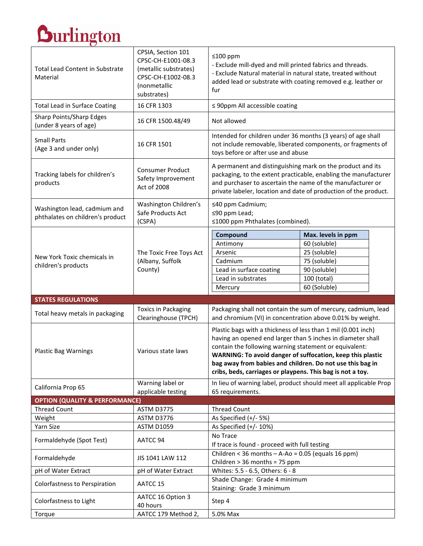## $\overline{\phantom{a}}$

| <b>Total Lead Content in Substrate</b><br>Material               | CPSIA, Section 101<br>CPSC-CH-E1001-08.3<br>(metallic substrates)<br>CPSC-CH-E1002-08.3<br>(nonmetallic<br>substrates) | ≤100 ppm<br>- Exclude mill-dyed and mill printed fabrics and threads.<br>- Exclude Natural material in natural state, treated without<br>added lead or substrate with coating removed e.g. leather or<br>fur                                                                                                                                                                    |                    |  |
|------------------------------------------------------------------|------------------------------------------------------------------------------------------------------------------------|---------------------------------------------------------------------------------------------------------------------------------------------------------------------------------------------------------------------------------------------------------------------------------------------------------------------------------------------------------------------------------|--------------------|--|
| <b>Total Lead in Surface Coating</b>                             | 16 CFR 1303                                                                                                            | $\leq$ 90ppm All accessible coating                                                                                                                                                                                                                                                                                                                                             |                    |  |
| Sharp Points/Sharp Edges<br>(under 8 years of age)               | 16 CFR 1500.48/49                                                                                                      | Not allowed                                                                                                                                                                                                                                                                                                                                                                     |                    |  |
| <b>Small Parts</b><br>(Age 3 and under only)                     | 16 CFR 1501                                                                                                            | Intended for children under 36 months (3 years) of age shall<br>not include removable, liberated components, or fragments of<br>toys before or after use and abuse                                                                                                                                                                                                              |                    |  |
| Tracking labels for children's<br>products                       | <b>Consumer Product</b><br>Safety Improvement<br>Act of 2008                                                           | A permanent and distinguishing mark on the product and its<br>packaging, to the extent practicable, enabling the manufacturer<br>and purchaser to ascertain the name of the manufacturer or<br>private labeler, location and date of production of the product.                                                                                                                 |                    |  |
| Washington lead, cadmium and<br>phthalates on children's product | Washington Children's<br>Safe Products Act<br>(CSPA)                                                                   | ≤40 ppm Cadmium;<br>≤90 ppm Lead;<br>≤1000 ppm Phthalates (combined).                                                                                                                                                                                                                                                                                                           |                    |  |
|                                                                  |                                                                                                                        | Compound                                                                                                                                                                                                                                                                                                                                                                        | Max. levels in ppm |  |
|                                                                  |                                                                                                                        | Antimony                                                                                                                                                                                                                                                                                                                                                                        | 60 (soluble)       |  |
|                                                                  | The Toxic Free Toys Act<br>(Albany, Suffolk<br>County)                                                                 | Arsenic                                                                                                                                                                                                                                                                                                                                                                         | 25 (soluble)       |  |
| New York Toxic chemicals in<br>children's products               |                                                                                                                        | Cadmium                                                                                                                                                                                                                                                                                                                                                                         | 75 (soluble)       |  |
|                                                                  |                                                                                                                        | Lead in surface coating                                                                                                                                                                                                                                                                                                                                                         | 90 (soluble)       |  |
|                                                                  |                                                                                                                        | Lead in substrates                                                                                                                                                                                                                                                                                                                                                              | 100 (total)        |  |
|                                                                  |                                                                                                                        | Mercury                                                                                                                                                                                                                                                                                                                                                                         | 60 (Soluble)       |  |
| <b>STATES REGULATIONS</b>                                        |                                                                                                                        |                                                                                                                                                                                                                                                                                                                                                                                 |                    |  |
| Total heavy metals in packaging                                  | <b>Toxics in Packaging</b><br>Clearinghouse (TPCH)                                                                     | Packaging shall not contain the sum of mercury, cadmium, lead<br>and chromium (VI) in concentration above 0.01% by weight.                                                                                                                                                                                                                                                      |                    |  |
| <b>Plastic Bag Warnings</b>                                      | Various state laws                                                                                                     | Plastic bags with a thickness of less than 1 mil (0.001 inch)<br>having an opened end larger than 5 inches in diameter shall<br>contain the following warning statement or equivalent:<br>WARNING: To avoid danger of suffocation, keep this plastic<br>bag away from babies and children. Do not use this bag in<br>cribs, beds, carriages or playpens. This bag is not a toy. |                    |  |
| California Prop 65                                               | Warning label or<br>applicable testing                                                                                 | In lieu of warning label, product should meet all applicable Prop<br>65 requirements.                                                                                                                                                                                                                                                                                           |                    |  |
| <b>OPTION (QUALITY &amp; PERFORMANCE)</b>                        |                                                                                                                        |                                                                                                                                                                                                                                                                                                                                                                                 |                    |  |
| <b>Thread Count</b>                                              | ASTM D3775                                                                                                             | <b>Thread Count</b>                                                                                                                                                                                                                                                                                                                                                             |                    |  |
| Weight<br>Yarn Size                                              | ASTM D3776<br><b>ASTM D1059</b>                                                                                        | As Specified (+/- 5%)                                                                                                                                                                                                                                                                                                                                                           |                    |  |
|                                                                  |                                                                                                                        | As Specified (+/- 10%)                                                                                                                                                                                                                                                                                                                                                          |                    |  |
| Formaldehyde (Spot Test)                                         | AATCC 94                                                                                                               | No Trace<br>If trace is found - proceed with full testing                                                                                                                                                                                                                                                                                                                       |                    |  |
| Formaldehyde                                                     | JIS 1041 LAW 112                                                                                                       | Children < 36 months $-$ A-Ao = 0.05 (equals 16 ppm)<br>Children > 36 months = 75 ppm                                                                                                                                                                                                                                                                                           |                    |  |
| pH of Water Extract                                              | pH of Water Extract                                                                                                    | Whites: 5.5 - 6.5, Others: 6 - 8                                                                                                                                                                                                                                                                                                                                                |                    |  |
| Colorfastness to Perspiration                                    | AATCC 15                                                                                                               | Shade Change: Grade 4 minimum<br>Staining: Grade 3 minimum                                                                                                                                                                                                                                                                                                                      |                    |  |
| Colorfastness to Light                                           | AATCC 16 Option 3<br>40 hours                                                                                          | Step 4                                                                                                                                                                                                                                                                                                                                                                          |                    |  |
| Torque                                                           | AATCC 179 Method 2,                                                                                                    | 5.0% Max                                                                                                                                                                                                                                                                                                                                                                        |                    |  |

┑